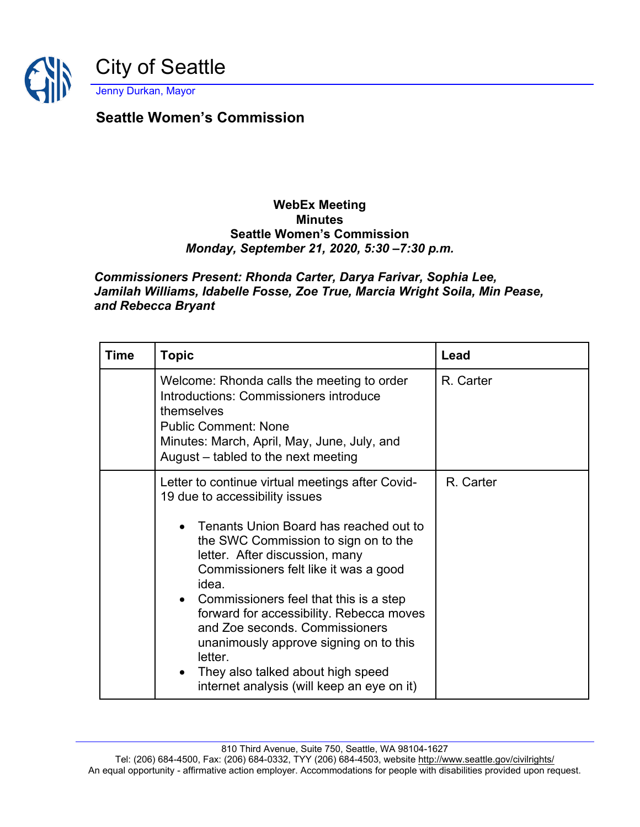

## **Seattle Women's Commission**

## **WebEx Meeting Minutes Seattle Women's Commission** *Monday, September 21, 2020, 5:30 –7:30 p.m.*

## *Commissioners Present: Rhonda Carter, Darya Farivar, Sophia Lee, Jamilah Williams, Idabelle Fosse, Zoe True, Marcia Wright Soila, Min Pease, and Rebecca Bryant*

| Time | <b>Topic</b>                                                                                                                                                                                                                                                                                                                                                                                                                                                                                                             | Lead      |
|------|--------------------------------------------------------------------------------------------------------------------------------------------------------------------------------------------------------------------------------------------------------------------------------------------------------------------------------------------------------------------------------------------------------------------------------------------------------------------------------------------------------------------------|-----------|
|      | Welcome: Rhonda calls the meeting to order<br>Introductions: Commissioners introduce<br>themselves<br><b>Public Comment: None</b><br>Minutes: March, April, May, June, July, and<br>August – tabled to the next meeting                                                                                                                                                                                                                                                                                                  | R. Carter |
|      | Letter to continue virtual meetings after Covid-<br>19 due to accessibility issues<br>Tenants Union Board has reached out to<br>the SWC Commission to sign on to the<br>letter. After discussion, many<br>Commissioners felt like it was a good<br>idea.<br>Commissioners feel that this is a step<br>forward for accessibility. Rebecca moves<br>and Zoe seconds, Commissioners<br>unanimously approve signing on to this<br>letter.<br>They also talked about high speed<br>internet analysis (will keep an eye on it) | R. Carter |

810 Third Avenue, Suite 750, Seattle, WA 98104-1627

Tel: (206) 684-4500, Fax: (206) 684-0332, TYY (206) 684-4503, website<http://www.seattle.gov/civilrights/> An equal opportunity - affirmative action employer. Accommodations for people with disabilities provided upon request.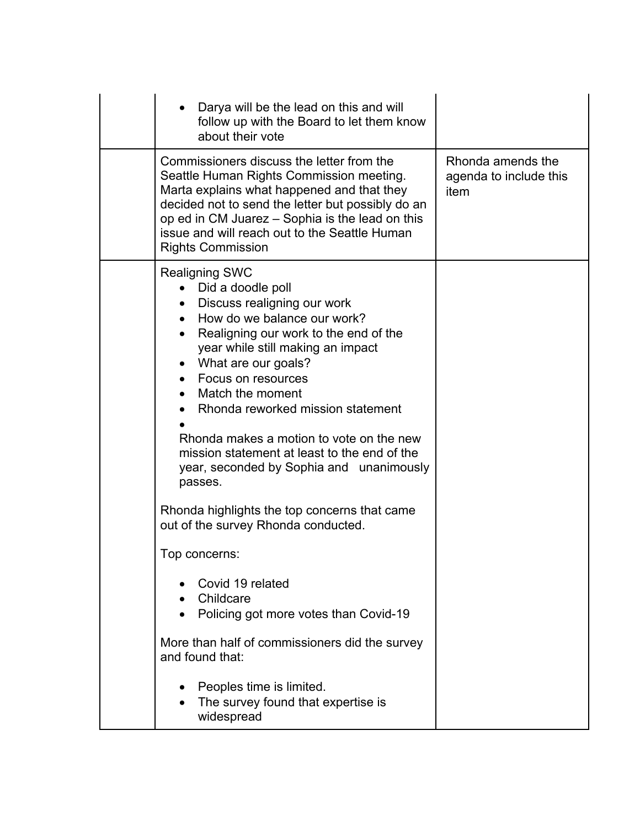| Darya will be the lead on this and will<br>follow up with the Board to let them know<br>about their vote                                                                                                                                                                                                                                                                                                                                                                  |                                                     |
|---------------------------------------------------------------------------------------------------------------------------------------------------------------------------------------------------------------------------------------------------------------------------------------------------------------------------------------------------------------------------------------------------------------------------------------------------------------------------|-----------------------------------------------------|
| Commissioners discuss the letter from the<br>Seattle Human Rights Commission meeting.<br>Marta explains what happened and that they<br>decided not to send the letter but possibly do an<br>op ed in CM Juarez – Sophia is the lead on this<br>issue and will reach out to the Seattle Human<br><b>Rights Commission</b>                                                                                                                                                  | Rhonda amends the<br>agenda to include this<br>item |
| <b>Realigning SWC</b><br>Did a doodle poll<br>Discuss realigning our work<br>How do we balance our work?<br>$\bullet$<br>Realigning our work to the end of the<br>year while still making an impact<br>What are our goals?<br>Focus on resources<br>$\bullet$<br>Match the moment<br>Rhonda reworked mission statement<br>Rhonda makes a motion to vote on the new<br>mission statement at least to the end of the<br>year, seconded by Sophia and unanimously<br>passes. |                                                     |
| Rhonda highlights the top concerns that came<br>out of the survey Rhonda conducted.                                                                                                                                                                                                                                                                                                                                                                                       |                                                     |
| Top concerns:                                                                                                                                                                                                                                                                                                                                                                                                                                                             |                                                     |
| Covid 19 related<br>Childcare<br>Policing got more votes than Covid-19                                                                                                                                                                                                                                                                                                                                                                                                    |                                                     |
| More than half of commissioners did the survey<br>and found that:                                                                                                                                                                                                                                                                                                                                                                                                         |                                                     |
| Peoples time is limited.<br>The survey found that expertise is<br>widespread                                                                                                                                                                                                                                                                                                                                                                                              |                                                     |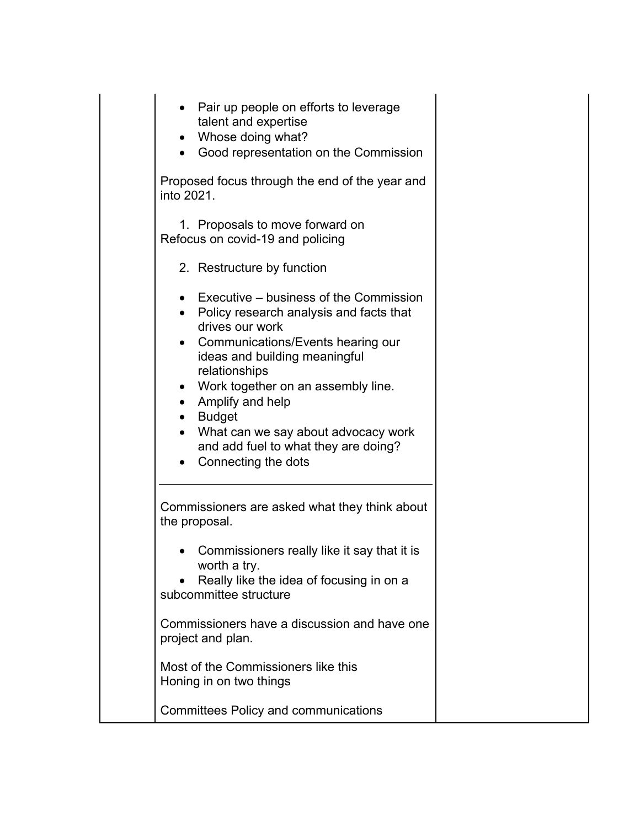| • Pair up people on efforts to leverage<br>talent and expertise<br>Whose doing what?<br>Good representation on the Commission<br>$\bullet$                                                                                                                                                                                                                                                              |
|---------------------------------------------------------------------------------------------------------------------------------------------------------------------------------------------------------------------------------------------------------------------------------------------------------------------------------------------------------------------------------------------------------|
| Proposed focus through the end of the year and<br>into 2021.                                                                                                                                                                                                                                                                                                                                            |
| 1. Proposals to move forward on<br>Refocus on covid-19 and policing                                                                                                                                                                                                                                                                                                                                     |
| 2. Restructure by function                                                                                                                                                                                                                                                                                                                                                                              |
| Executive – business of the Commission<br>• Policy research analysis and facts that<br>drives our work<br>• Communications/Events hearing our<br>ideas and building meaningful<br>relationships<br>• Work together on an assembly line.<br>Amplify and help<br>$\bullet$<br>• Budget<br>What can we say about advocacy work<br>and add fuel to what they are doing?<br>Connecting the dots<br>$\bullet$ |
| Commissioners are asked what they think about<br>the proposal.                                                                                                                                                                                                                                                                                                                                          |
| Commissioners really like it say that it is<br>worth a try.<br>Really like the idea of focusing in on a<br>subcommittee structure                                                                                                                                                                                                                                                                       |
| Commissioners have a discussion and have one<br>project and plan.                                                                                                                                                                                                                                                                                                                                       |
| Most of the Commissioners like this<br>Honing in on two things                                                                                                                                                                                                                                                                                                                                          |
| <b>Committees Policy and communications</b>                                                                                                                                                                                                                                                                                                                                                             |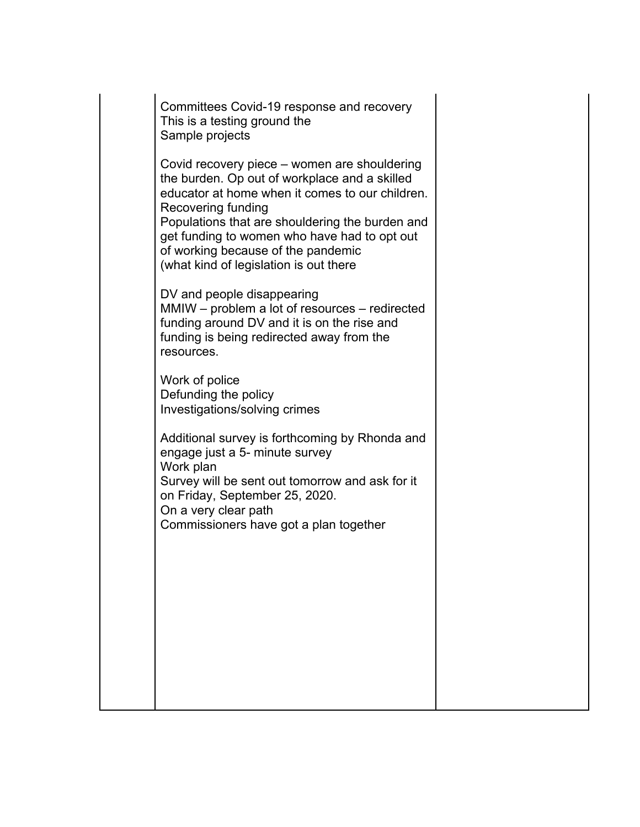Committees Covid-19 response and recovery This is a testing ground the Sample projects

Covid recovery piece – women are shouldering the burden. Op out of workplace and a skilled educator at home when it comes to our children. Recovering funding Populations that are shouldering the burden and get funding to women who have had to opt out of working because of the pandemic (what kind of legislation is out there

DV and people disappearing MMIW – problem a lot of resources – redirected funding around DV and it is on the rise and funding is being redirected away from the resources.

Work of police Defunding the policy Investigations/solving crimes

Additional survey is forthcoming by Rhonda and engage just a 5- minute survey Work plan Survey will be sent out tomorrow and ask for it on Friday, September 25, 2020. On a very clear path Commissioners have got a plan together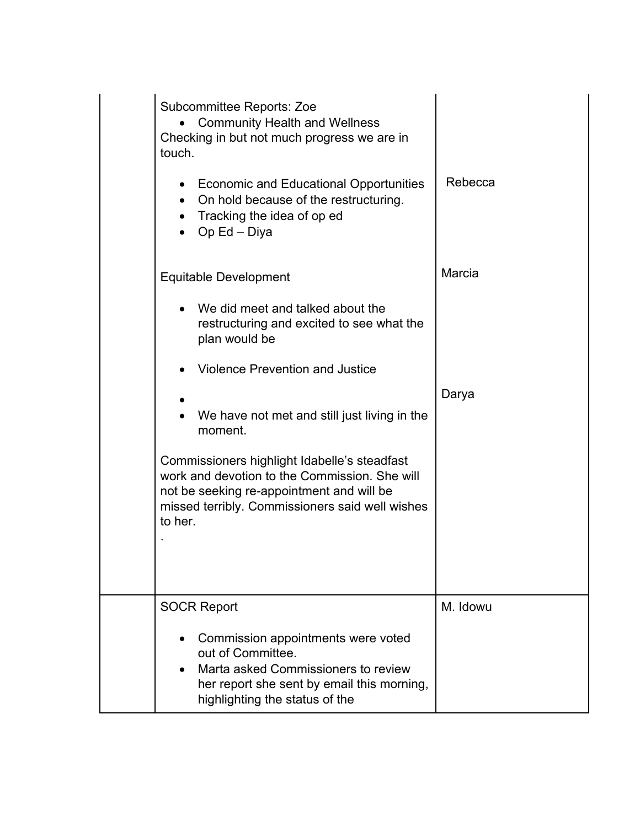| <b>Subcommittee Reports: Zoe</b><br><b>Community Health and Wellness</b><br>Checking in but not much progress we are in<br>touch.                                                                        |          |
|----------------------------------------------------------------------------------------------------------------------------------------------------------------------------------------------------------|----------|
| <b>Economic and Educational Opportunities</b><br>On hold because of the restructuring.<br>$\bullet$<br>• Tracking the idea of op ed<br>Op Ed – Diya                                                      | Rebecca  |
| <b>Equitable Development</b>                                                                                                                                                                             | Marcia   |
| We did meet and talked about the<br>restructuring and excited to see what the<br>plan would be                                                                                                           |          |
| <b>Violence Prevention and Justice</b>                                                                                                                                                                   |          |
|                                                                                                                                                                                                          | Darya    |
| We have not met and still just living in the<br>moment.                                                                                                                                                  |          |
| Commissioners highlight Idabelle's steadfast<br>work and devotion to the Commission. She will<br>not be seeking re-appointment and will be<br>missed terribly. Commissioners said well wishes<br>to her. |          |
|                                                                                                                                                                                                          |          |
| <b>SOCR Report</b>                                                                                                                                                                                       | M. Idowu |
| Commission appointments were voted<br>out of Committee.<br>Marta asked Commissioners to review<br>her report she sent by email this morning,<br>highlighting the status of the                           |          |